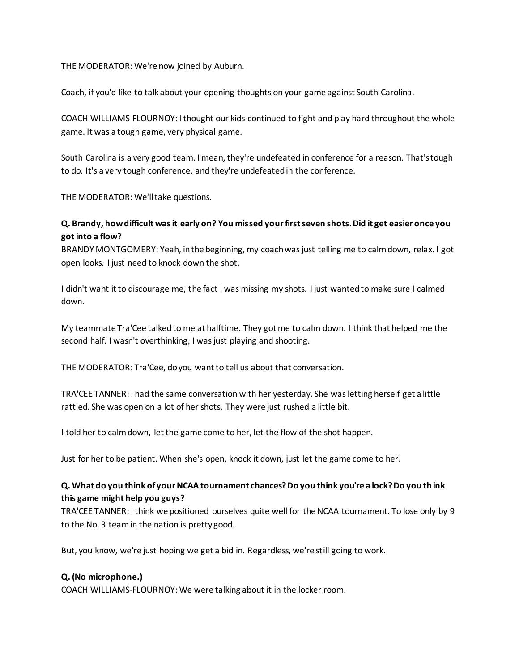THE MODERATOR: We're now joined by Auburn.

Coach, if you'd like to talk about your opening thoughts on your game against South Carolina.

COACH WILLIAMS-FLOURNOY: I thought our kids continued to fight and play hard throughout the whole game. It was a tough game, very physical game.

South Carolina is a very good team. I mean, they're undefeated in conference for a reason. That's tough to do. It's a very tough conference, and they're undefeated in the conference.

THE MODERATOR: We'll take questions.

## **Q. Brandy, how difficult was it early on? You missed your first seven shots. Did it get easier once you got into a flow?**

BRANDY MONTGOMERY: Yeah, in the beginning, my coach was just telling me to calm down, relax. I got open looks. I just need to knock down the shot.

I didn't want it to discourage me, the fact I was missing my shots. I just wanted to make sure I calmed down.

My teammate Tra'Cee talked to me at halftime. They got me to calm down. I think that helped me the second half. I wasn't overthinking, I was just playing and shooting.

THE MODERATOR: Tra'Cee, do you want to tell us about that conversation.

TRA'CEE TANNER: I had the same conversation with her yesterday. She was letting herself get a little rattled. She was open on a lot of her shots. They were just rushed a little bit.

I told her to calm down, let the game come to her, let the flow of the shot happen.

Just for her to be patient. When she's open, knock it down, just let the game come to her.

## **Q. What do you think of your NCAA tournament chances? Do you think you're a lock? Do you th ink this game might help you guys?**

TRA'CEE TANNER: I think we positioned ourselves quite well for the NCAA tournament. To lose only by 9 to the No. 3 team in the nation is pretty good.

But, you know, we're just hoping we get a bid in. Regardless, we're still going to work.

## **Q. (No microphone.)**

COACH WILLIAMS-FLOURNOY: We were talking about it in the locker room.